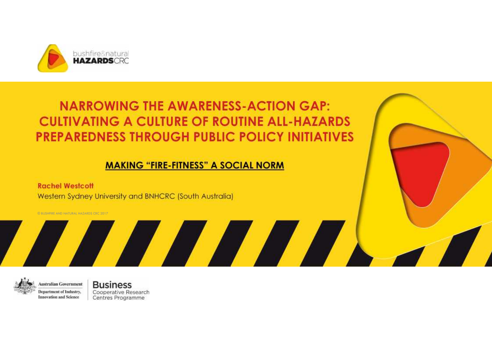

#### **NARROWING THE AWARENESS-ACTION GAP: CULTIVATING A CULTURE OF ROUTINE ALL-HAZARDS PREPAREDNESS THROUGH PUBLIC POLICY INITIATIVES**

#### **MAKING "FIRE-FITNESS" A SOCIAL NORM**

A A A A A

**Rachel Westcott** Western Sydney University and BNHCRC (South Australia)

© BUSHFIRE AND NATURAL HAZARDS CRC 2017



**Business Australian Government** Department of Industry, **Innovation and Science** 

Cooperative Research Centres Programme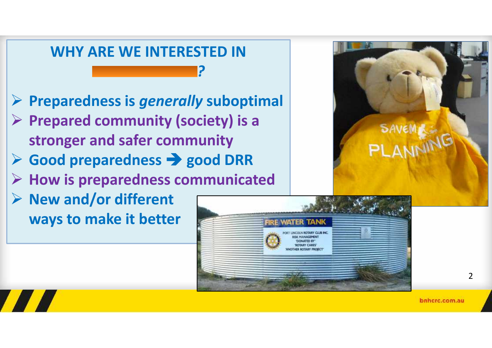

**ALL** 



**LINCOLN ROTARY CLUB INC. OF MANAGEMENT TIONATED BY ROTARY CARES** 

 $\overline{\phantom{0}}$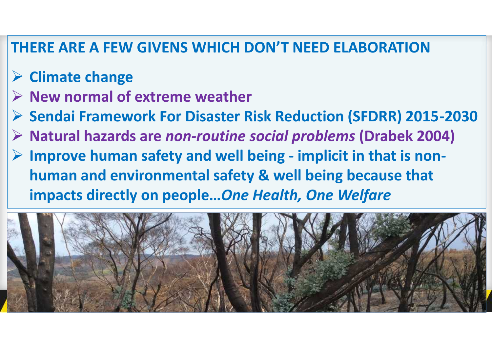#### **THERE ARE A FEW GIVENS WHICH DON'T NEED ELABORATION**

- **Climate change**
- **▶ New normal of extreme weather**
- **Sendai Framework For Disaster Risk Reduction (SFDRR) 2015-2030**
- **Natural hazards are** *non-routine social problems* **(Drabek 2004)**
- **Improve human safety and well being - implicit in that is non human and environmental safety & well being because that impacts directly on people…***One Health, One Welfare*

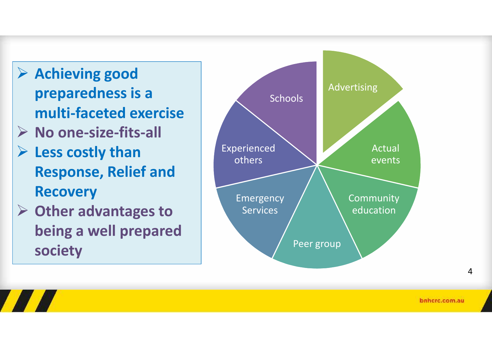- and **Achieving good<br>
preparedness is a preparedness is a multi-faceted exercise No one-size-fits-all Less costly than Response, Relief and Recovery Other advantages to**
	- **being a well prepared society**

**ALL** 



bnhcrc.com.au

4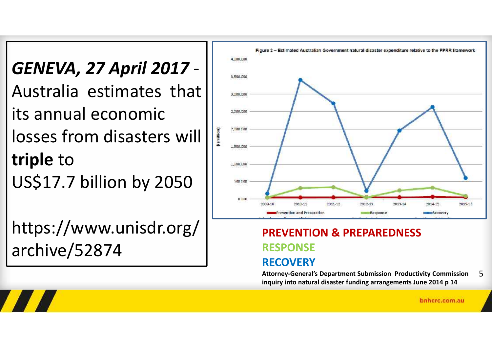*GENEVA, 27 April 2017* - Australia estimates that  $||$ its annual economic losses from disasters will **triple** to US\$17.7 billion by 2050 | **1980** 

https://www.unisdr.org/ archive/52874

**ATA** 



#### **PREVENTION & PREPAREDNESS RESPONSE RECOVERY**

**Attorney-General's Department Submission Productivity Commission inquiry into natural disaster funding arrangements June 2014 p 14** 5

bnhcrc.com.au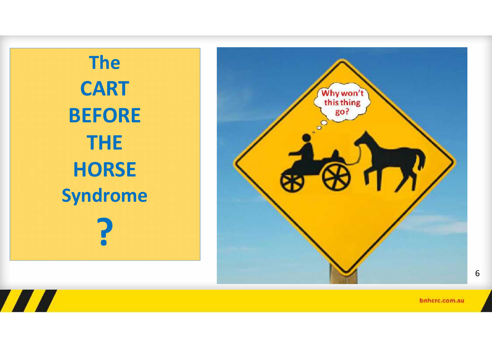**The CART BEFORE THE HORSE Syndrome**

**THE REAL** 

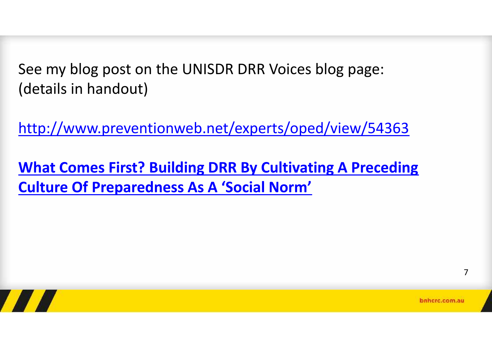See my blog post on the UNISDR DRR Voices blog page: (details in handout)

http://www.preventionweb.net/experts/oped/view/54363

**What Comes First? Building DRR By Cultivating A Preceding Culture Of Preparedness As A 'Social Norm'**



7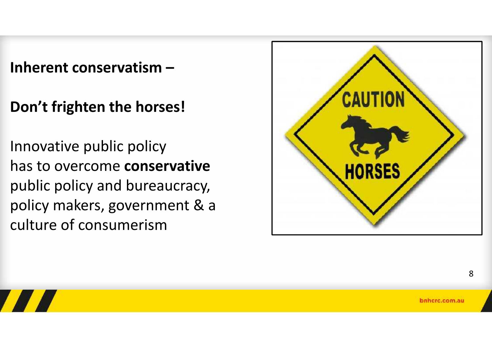**Inherent conservatism –**

**Don't frighten the horses!**

Innovative public policy has to overcome **conservative** public policy and bureaucracy, policy makers, government & a culture of consumerism

**TALL** 



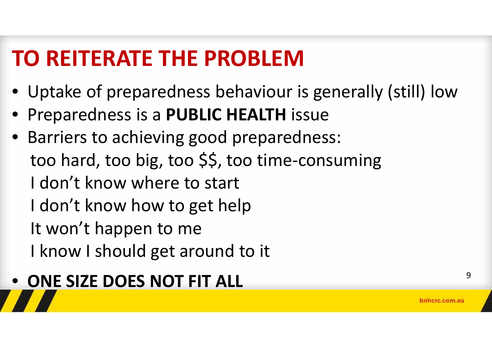# **TO REITERATE THE PROBLEM**

- Uptake of preparedness behaviour is generally (still) low
- Preparedness is a **PUBLIC HEALTH** issue
- Barriers to achieving good preparedness: too hard, too big, too \$\$, too time-consuming I don't know where to start I don't know how to get help It won't happen to me I know I should get around to it

# • ONE SIZE DOES NOT FIT ALL **PROPERTY ALL** 9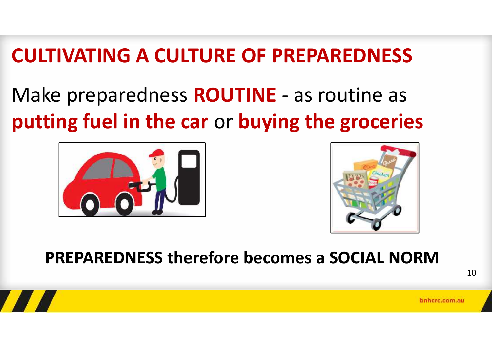## **CULTIVATING A CULTURE OF PREPAREDNESS**

## Make preparedness **ROUTINE** - as routine as **putting fuel in the car** or **buying the groceries**





#### **PREPAREDNESS therefore becomes a SOCIAL NORM**

10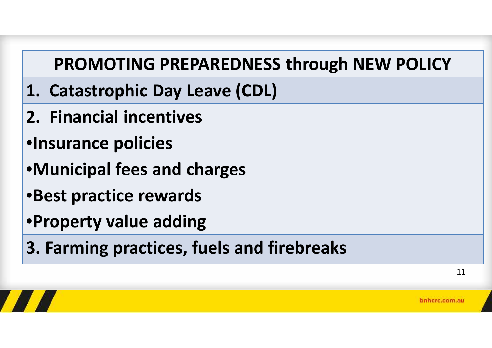### **PROMOTING PREPAREDNESS through NEW POLICY**

- **1. Catastrophic Day Leave (CDL)**
- **2. Financial incentives**
- •**Insurance policies**
- •**Municipal fees and charges**
- •**Best practice rewards**
- •**Property value adding**
- **3. Farming practices, fuels and firebreaks**

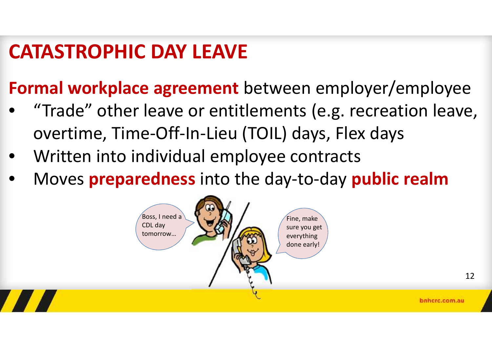## **CATASTROPHIC DAY LEAVE**

**Formal workplace agreement** between employer/employee

- "Trade" other leave or entitlements (e.g. recreation leave, overtime, Time-Off-In-Lieu (TOIL) days, Flex days
- Written into individual employee contracts
- Moves **preparedness** into the day-to-day **public realm**

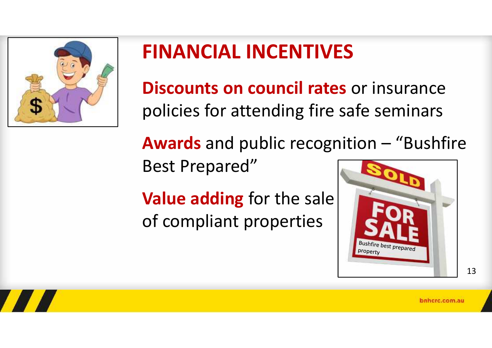

# **FINANCIAL INCENTIVES**

**Discounts on council rates** or insurance policies for attending fire safe seminars

**Awards** and public recognition – "Bushfire Best Prepared"

**Value adding** for the sale of compliant properties

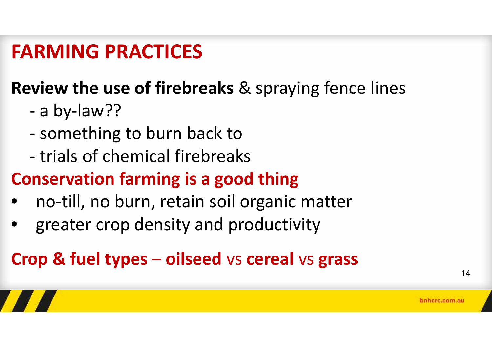## **FARMING PRACTICES**

### **Review the use of firebreaks** & spraying fence lines

- a by-law??
- something to burn back to
- trials of chemical firebreaks

### **Conservation farming is a good thing**

- no-till, no burn, retain soil organic matter
- greater crop density and productivity

### **Crop & fuel types** – **oilseed** vs **cereal** vs **grass**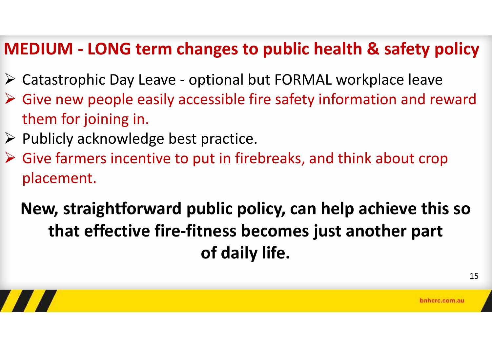#### **MEDIUM - LONG term changes to public health & safety policy**

- Catastrophic Day Leave optional but FORMAL workplace leave
- $\triangleright$  Give new people easily accessible fire safety information and reward them for joining in.
- $\triangleright$  Publicly acknowledge best practice.
- $\triangleright$  Give farmers incentive to put in firebreaks, and think about crop placement.

### **New, straightforward public policy, can help achieve this so that effective fire-fitness becomes just another part of daily life.**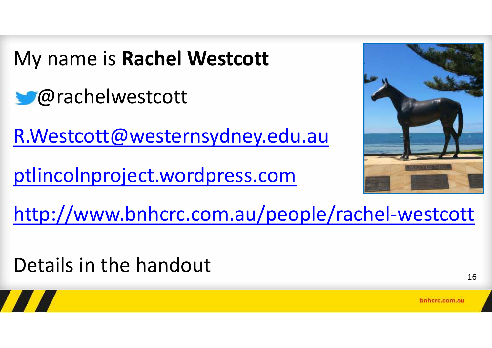My name is **Rachel Westcott**

@rachelwestcott

R.Westcott@westernsydney.edu.au

ptlincolnproject.wordpress.com



http://www.bnhcrc.com.au/people/rachel-westcott

Details in the handout

16